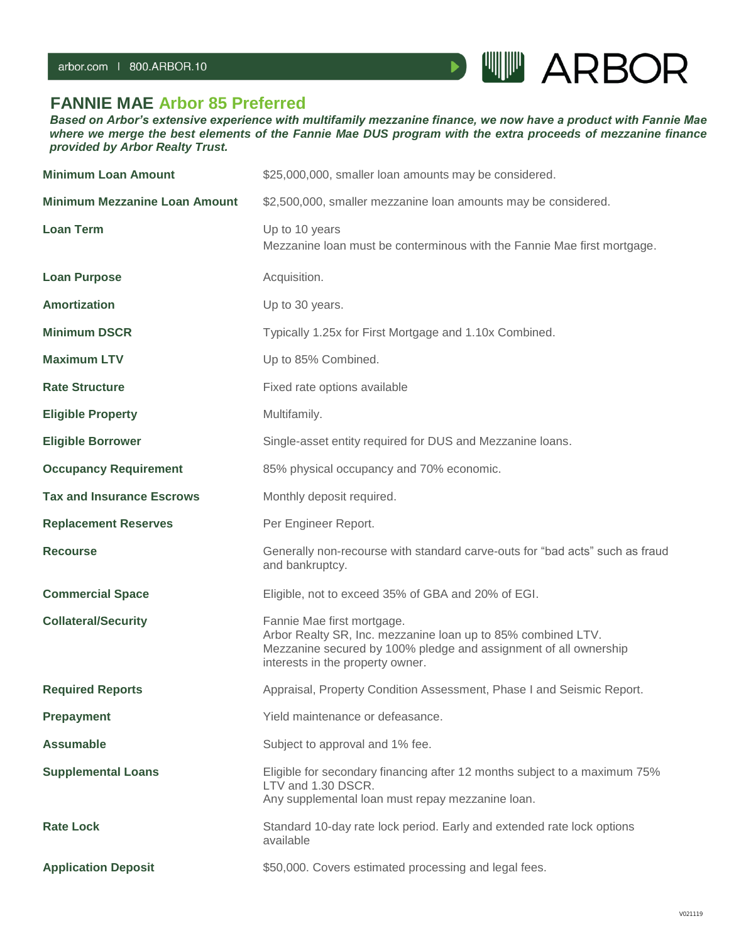

## **FANNIE MAE Arbor 85 Preferred**

*Based on Arbor's extensive experience with multifamily mezzanine finance, we now have a product with Fannie Mae where we merge the best elements of the Fannie Mae DUS program with the extra proceeds of mezzanine finance provided by Arbor Realty Trust.*

| <b>Minimum Loan Amount</b>           | \$25,000,000, smaller loan amounts may be considered.                                                                                                                                              |
|--------------------------------------|----------------------------------------------------------------------------------------------------------------------------------------------------------------------------------------------------|
| <b>Minimum Mezzanine Loan Amount</b> | \$2,500,000, smaller mezzanine loan amounts may be considered.                                                                                                                                     |
| <b>Loan Term</b>                     | Up to 10 years<br>Mezzanine loan must be conterminous with the Fannie Mae first mortgage.                                                                                                          |
| <b>Loan Purpose</b>                  | Acquisition.                                                                                                                                                                                       |
| <b>Amortization</b>                  | Up to 30 years.                                                                                                                                                                                    |
| <b>Minimum DSCR</b>                  | Typically 1.25x for First Mortgage and 1.10x Combined.                                                                                                                                             |
| <b>Maximum LTV</b>                   | Up to 85% Combined.                                                                                                                                                                                |
| <b>Rate Structure</b>                | Fixed rate options available                                                                                                                                                                       |
| <b>Eligible Property</b>             | Multifamily.                                                                                                                                                                                       |
| <b>Eligible Borrower</b>             | Single-asset entity required for DUS and Mezzanine loans.                                                                                                                                          |
| <b>Occupancy Requirement</b>         | 85% physical occupancy and 70% economic.                                                                                                                                                           |
| <b>Tax and Insurance Escrows</b>     | Monthly deposit required.                                                                                                                                                                          |
| <b>Replacement Reserves</b>          | Per Engineer Report.                                                                                                                                                                               |
| <b>Recourse</b>                      | Generally non-recourse with standard carve-outs for "bad acts" such as fraud<br>and bankruptcy.                                                                                                    |
| <b>Commercial Space</b>              | Eligible, not to exceed 35% of GBA and 20% of EGI.                                                                                                                                                 |
| <b>Collateral/Security</b>           | Fannie Mae first mortgage.<br>Arbor Realty SR, Inc. mezzanine loan up to 85% combined LTV.<br>Mezzanine secured by 100% pledge and assignment of all ownership<br>interests in the property owner. |
| <b>Required Reports</b>              | Appraisal, Property Condition Assessment, Phase I and Seismic Report.                                                                                                                              |
| <b>Prepayment</b>                    | Yield maintenance or defeasance.                                                                                                                                                                   |
| <b>Assumable</b>                     | Subject to approval and 1% fee.                                                                                                                                                                    |
| <b>Supplemental Loans</b>            | Eligible for secondary financing after 12 months subject to a maximum 75%<br>LTV and 1.30 DSCR.<br>Any supplemental loan must repay mezzanine loan.                                                |
| <b>Rate Lock</b>                     | Standard 10-day rate lock period. Early and extended rate lock options<br>available                                                                                                                |
| <b>Application Deposit</b>           | \$50,000. Covers estimated processing and legal fees.                                                                                                                                              |